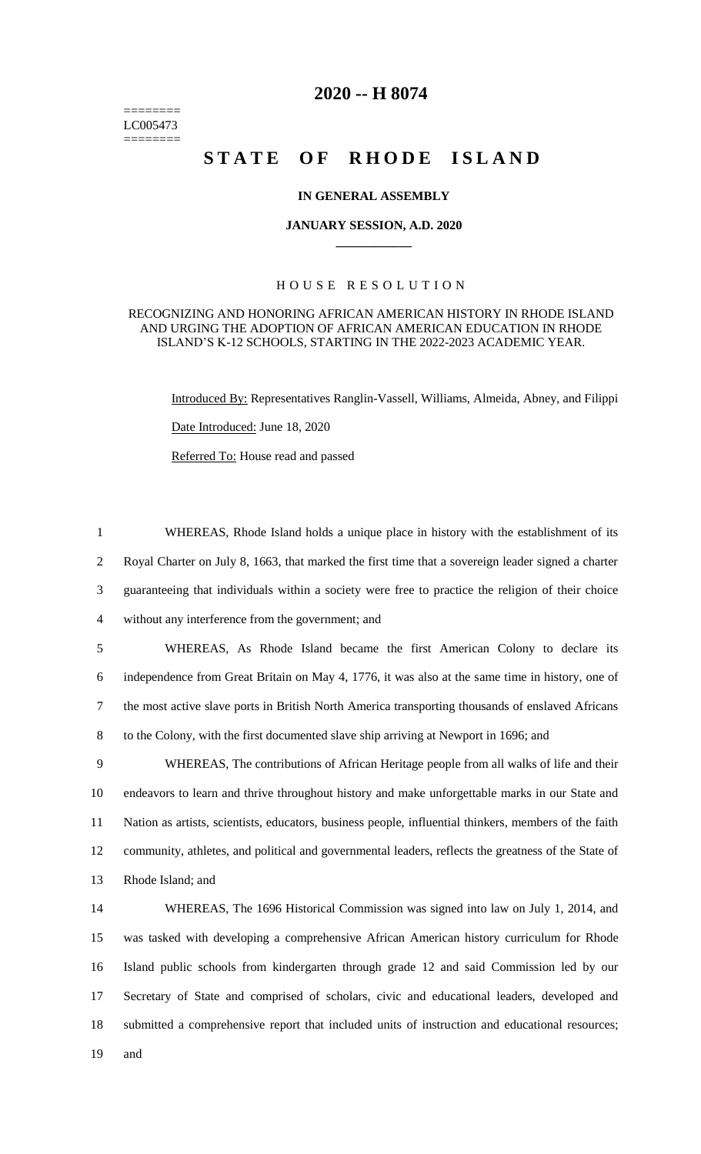======== LC005473 ========

# **2020 -- H 8074**

# **STATE OF RHODE ISLAND**

### **IN GENERAL ASSEMBLY**

#### **JANUARY SESSION, A.D. 2020 \_\_\_\_\_\_\_\_\_\_\_\_**

## H O U S E R E S O L U T I O N

#### RECOGNIZING AND HONORING AFRICAN AMERICAN HISTORY IN RHODE ISLAND AND URGING THE ADOPTION OF AFRICAN AMERICAN EDUCATION IN RHODE ISLAND'S K-12 SCHOOLS, STARTING IN THE 2022-2023 ACADEMIC YEAR.

Introduced By: Representatives Ranglin-Vassell, Williams, Almeida, Abney, and Filippi Date Introduced: June 18, 2020

Referred To: House read and passed

 WHEREAS, Rhode Island holds a unique place in history with the establishment of its Royal Charter on July 8, 1663, that marked the first time that a sovereign leader signed a charter guaranteeing that individuals within a society were free to practice the religion of their choice without any interference from the government; and

 WHEREAS, As Rhode Island became the first American Colony to declare its independence from Great Britain on May 4, 1776, it was also at the same time in history, one of the most active slave ports in British North America transporting thousands of enslaved Africans to the Colony, with the first documented slave ship arriving at Newport in 1696; and

 WHEREAS, The contributions of African Heritage people from all walks of life and their endeavors to learn and thrive throughout history and make unforgettable marks in our State and Nation as artists, scientists, educators, business people, influential thinkers, members of the faith community, athletes, and political and governmental leaders, reflects the greatness of the State of Rhode Island; and

 WHEREAS, The 1696 Historical Commission was signed into law on July 1, 2014, and was tasked with developing a comprehensive African American history curriculum for Rhode Island public schools from kindergarten through grade 12 and said Commission led by our Secretary of State and comprised of scholars, civic and educational leaders, developed and submitted a comprehensive report that included units of instruction and educational resources; 19 and